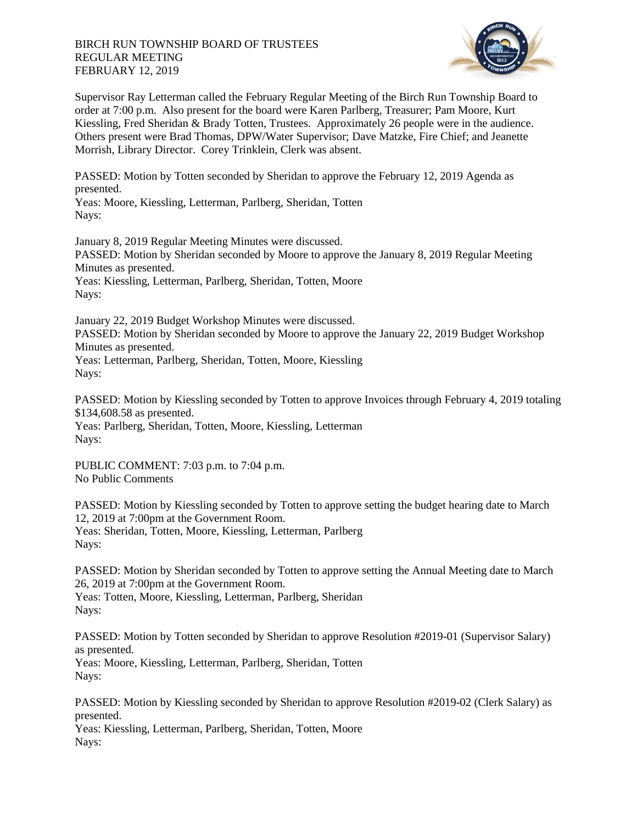## BIRCH RUN TOWNSHIP BOARD OF TRUSTEES REGULAR MEETING FEBRUARY 12, 2019



Supervisor Ray Letterman called the February Regular Meeting of the Birch Run Township Board to order at 7:00 p.m. Also present for the board were Karen Parlberg, Treasurer; Pam Moore, Kurt Kiessling, Fred Sheridan & Brady Totten, Trustees. Approximately 26 people were in the audience. Others present were Brad Thomas, DPW/Water Supervisor; Dave Matzke, Fire Chief; and Jeanette Morrish, Library Director. Corey Trinklein, Clerk was absent.

PASSED: Motion by Totten seconded by Sheridan to approve the February 12, 2019 Agenda as presented.

Yeas: Moore, Kiessling, Letterman, Parlberg, Sheridan, Totten Nays:

January 8, 2019 Regular Meeting Minutes were discussed. PASSED: Motion by Sheridan seconded by Moore to approve the January 8, 2019 Regular Meeting Minutes as presented. Yeas: Kiessling, Letterman, Parlberg, Sheridan, Totten, Moore Navs:

January 22, 2019 Budget Workshop Minutes were discussed. PASSED: Motion by Sheridan seconded by Moore to approve the January 22, 2019 Budget Workshop Minutes as presented. Yeas: Letterman, Parlberg, Sheridan, Totten, Moore, Kiessling Nays:

PASSED: Motion by Kiessling seconded by Totten to approve Invoices through February 4, 2019 totaling \$134,608.58 as presented. Yeas: Parlberg, Sheridan, Totten, Moore, Kiessling, Letterman Nays:

PUBLIC COMMENT: 7:03 p.m. to 7:04 p.m. No Public Comments

PASSED: Motion by Kiessling seconded by Totten to approve setting the budget hearing date to March 12, 2019 at 7:00pm at the Government Room. Yeas: Sheridan, Totten, Moore, Kiessling, Letterman, Parlberg Nays:

PASSED: Motion by Sheridan seconded by Totten to approve setting the Annual Meeting date to March 26, 2019 at 7:00pm at the Government Room. Yeas: Totten, Moore, Kiessling, Letterman, Parlberg, Sheridan Nays:

PASSED: Motion by Totten seconded by Sheridan to approve Resolution #2019-01 (Supervisor Salary) as presented. Yeas: Moore, Kiessling, Letterman, Parlberg, Sheridan, Totten Nays:

PASSED: Motion by Kiessling seconded by Sheridan to approve Resolution #2019-02 (Clerk Salary) as presented. Yeas: Kiessling, Letterman, Parlberg, Sheridan, Totten, Moore

Nays: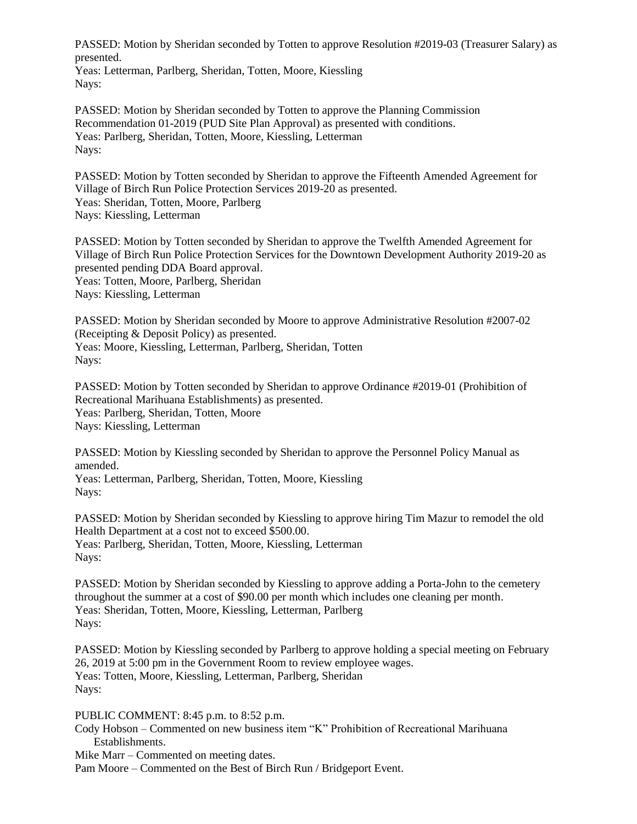PASSED: Motion by Sheridan seconded by Totten to approve Resolution #2019-03 (Treasurer Salary) as presented.

Yeas: Letterman, Parlberg, Sheridan, Totten, Moore, Kiessling Nays:

PASSED: Motion by Sheridan seconded by Totten to approve the Planning Commission Recommendation 01-2019 (PUD Site Plan Approval) as presented with conditions. Yeas: Parlberg, Sheridan, Totten, Moore, Kiessling, Letterman Nays:

PASSED: Motion by Totten seconded by Sheridan to approve the Fifteenth Amended Agreement for Village of Birch Run Police Protection Services 2019-20 as presented. Yeas: Sheridan, Totten, Moore, Parlberg Nays: Kiessling, Letterman

PASSED: Motion by Totten seconded by Sheridan to approve the Twelfth Amended Agreement for Village of Birch Run Police Protection Services for the Downtown Development Authority 2019-20 as presented pending DDA Board approval. Yeas: Totten, Moore, Parlberg, Sheridan Nays: Kiessling, Letterman

PASSED: Motion by Sheridan seconded by Moore to approve Administrative Resolution #2007-02 (Receipting & Deposit Policy) as presented. Yeas: Moore, Kiessling, Letterman, Parlberg, Sheridan, Totten Nays:

PASSED: Motion by Totten seconded by Sheridan to approve Ordinance #2019-01 (Prohibition of Recreational Marihuana Establishments) as presented. Yeas: Parlberg, Sheridan, Totten, Moore Nays: Kiessling, Letterman

PASSED: Motion by Kiessling seconded by Sheridan to approve the Personnel Policy Manual as amended.

Yeas: Letterman, Parlberg, Sheridan, Totten, Moore, Kiessling Nays:

PASSED: Motion by Sheridan seconded by Kiessling to approve hiring Tim Mazur to remodel the old Health Department at a cost not to exceed \$500.00. Yeas: Parlberg, Sheridan, Totten, Moore, Kiessling, Letterman Nays:

PASSED: Motion by Sheridan seconded by Kiessling to approve adding a Porta-John to the cemetery throughout the summer at a cost of \$90.00 per month which includes one cleaning per month. Yeas: Sheridan, Totten, Moore, Kiessling, Letterman, Parlberg Nays:

PASSED: Motion by Kiessling seconded by Parlberg to approve holding a special meeting on February 26, 2019 at 5:00 pm in the Government Room to review employee wages. Yeas: Totten, Moore, Kiessling, Letterman, Parlberg, Sheridan Nays:

PUBLIC COMMENT: 8:45 p.m. to 8:52 p.m.

Cody Hobson – Commented on new business item "K" Prohibition of Recreational Marihuana Establishments.

Mike Marr – Commented on meeting dates.

Pam Moore – Commented on the Best of Birch Run / Bridgeport Event.